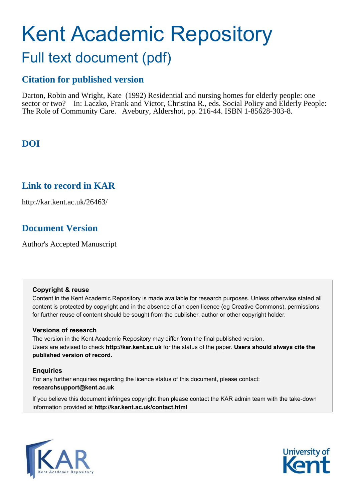# Kent Academic Repository

# Full text document (pdf)

# **Citation for published version**

Darton, Robin and Wright, Kate (1992) Residential and nursing homes for elderly people: one sector or two? In: Laczko, Frank and Victor, Christina R., eds. Social Policy and Elderly People: The Role of Community Care. Avebury, Aldershot, pp. 216-44. ISBN 1-85628-303-8.

# **DOI**

# **Link to record in KAR**

http://kar.kent.ac.uk/26463/

# **Document Version**

Author's Accepted Manuscript

## **Copyright & reuse**

Content in the Kent Academic Repository is made available for research purposes. Unless otherwise stated all content is protected by copyright and in the absence of an open licence (eg Creative Commons), permissions for further reuse of content should be sought from the publisher, author or other copyright holder.

## **Versions of research**

The version in the Kent Academic Repository may differ from the final published version. Users are advised to check **http://kar.kent.ac.uk** for the status of the paper. **Users should always cite the published version of record.**

## **Enquiries**

For any further enquiries regarding the licence status of this document, please contact: **researchsupport@kent.ac.uk**

If you believe this document infringes copyright then please contact the KAR admin team with the take-down information provided at **http://kar.kent.ac.uk/contact.html**



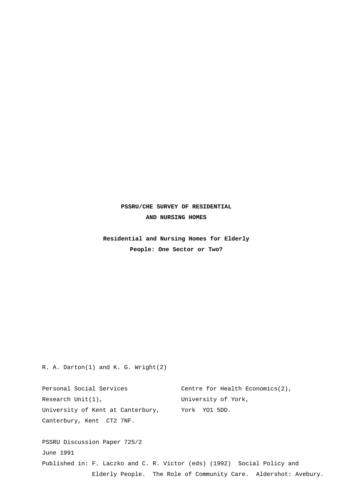## **PSSRU/CHE SURVEY OF RESIDENTIAL AND NURSING HOMES**

 **Residential and Nursing Homes for Elderly People: One Sector or Two?**

R. A. Darton(1) and K. G. Wright(2)

Personal Social Services Centre for Health Economics(2), Research Unit(1), The University of York, University of Kent at Canterbury, York YO1 5DD. Canterbury, Kent CT2 7NF. PSSRU Discussion Paper 725/2 June 1991

Published in: F. Laczko and C. R. Victor (eds) (1992) Social Policy and Elderly People. The Role of Community Care. Aldershot: Avebury.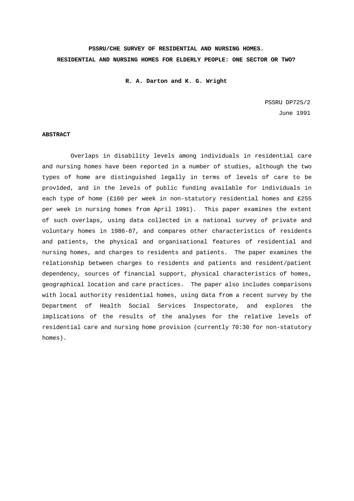# **PSSRU/CHE SURVEY OF RESIDENTIAL AND NURSING HOMES. RESIDENTIAL AND NURSING HOMES FOR ELDERLY PEOPLE: ONE SECTOR OR TWO?**

 **R. A. Darton and K. G. Wright**

PSSRU DP725/2 June 1991

#### **ABSTRACT**

 Overlaps in disability levels among individuals in residential care and nursing homes have been reported in a number of studies, although the two types of home are distinguished legally in terms of levels of care to be provided, and in the levels of public funding available for individuals in each type of home (£160 per week in non-statutory residential homes and £255 per week in nursing homes from April 1991). This paper examines the extent of such overlaps, using data collected in a national survey of private and voluntary homes in 1986-87, and compares other characteristics of residents and patients, the physical and organisational features of residential and nursing homes, and charges to residents and patients. The paper examines the relationship between charges to residents and patients and resident/patient dependency, sources of financial support, physical characteristics of homes, geographical location and care practices. The paper also includes comparisons with local authority residential homes, using data from a recent survey by the Department of Health Social Services Inspectorate, and explores the implications of the results of the analyses for the relative levels of residential care and nursing home provision (currently 70:30 for non-statutory homes).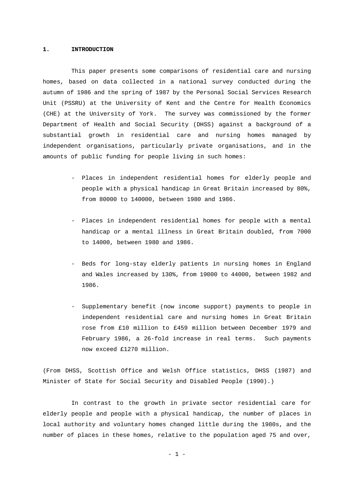#### **1. INTRODUCTION**

 This paper presents some comparisons of residential care and nursing homes, based on data collected in a national survey conducted during the autumn of 1986 and the spring of 1987 by the Personal Social Services Research Unit (PSSRU) at the University of Kent and the Centre for Health Economics (CHE) at the University of York. The survey was commissioned by the former Department of Health and Social Security (DHSS) against a background of a substantial growth in residential care and nursing homes managed by independent organisations, particularly private organisations, and in the amounts of public funding for people living in such homes:

- Places in independent residential homes for elderly people and people with a physical handicap in Great Britain increased by 80%, from 80000 to 140000, between 1980 and 1986.
- Places in independent residential homes for people with a mental handicap or a mental illness in Great Britain doubled, from 7000 to 14000, between 1980 and 1986.
- Beds for long-stay elderly patients in nursing homes in England and Wales increased by 130%, from 19000 to 44000, between 1982 and 1986.
- Supplementary benefit (now income support) payments to people in independent residential care and nursing homes in Great Britain rose from £10 million to £459 million between December 1979 and February 1986, a 26-fold increase in real terms. Such payments now exceed £1270 million.

(From DHSS, Scottish Office and Welsh Office statistics, DHSS (1987) and Minister of State for Social Security and Disabled People (1990).)

 In contrast to the growth in private sector residential care for elderly people and people with a physical handicap, the number of places in local authority and voluntary homes changed little during the 1980s, and the number of places in these homes, relative to the population aged 75 and over,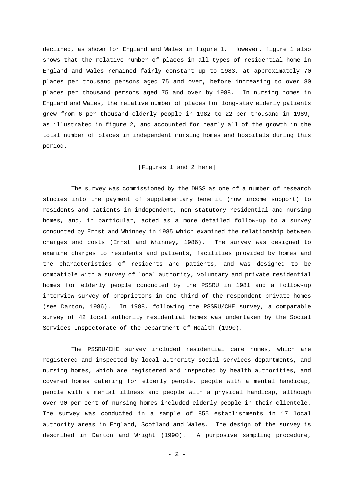declined, as shown for England and Wales in figure 1. However, figure 1 also shows that the relative number of places in all types of residential home in England and Wales remained fairly constant up to 1983, at approximately 70 places per thousand persons aged 75 and over, before increasing to over 80 places per thousand persons aged 75 and over by 1988. In nursing homes in England and Wales, the relative number of places for long-stay elderly patients grew from 6 per thousand elderly people in 1982 to 22 per thousand in 1989, as illustrated in figure 2, and accounted for nearly all of the growth in the total number of places in independent nursing homes and hospitals during this period.

#### [Figures 1 and 2 here]

 The survey was commissioned by the DHSS as one of a number of research studies into the payment of supplementary benefit (now income support) to residents and patients in independent, non-statutory residential and nursing homes, and, in particular, acted as a more detailed follow-up to a survey conducted by Ernst and Whinney in 1985 which examined the relationship between charges and costs (Ernst and Whinney, 1986). The survey was designed to examine charges to residents and patients, facilities provided by homes and the characteristics of residents and patients, and was designed to be compatible with a survey of local authority, voluntary and private residential homes for elderly people conducted by the PSSRU in 1981 and a follow-up interview survey of proprietors in one-third of the respondent private homes (see Darton, 1986). In 1988, following the PSSRU/CHE survey, a comparable survey of 42 local authority residential homes was undertaken by the Social Services Inspectorate of the Department of Health (1990).

 The PSSRU/CHE survey included residential care homes, which are registered and inspected by local authority social services departments, and nursing homes, which are registered and inspected by health authorities, and covered homes catering for elderly people, people with a mental handicap, people with a mental illness and people with a physical handicap, although over 90 per cent of nursing homes included elderly people in their clientele. The survey was conducted in a sample of 855 establishments in 17 local authority areas in England, Scotland and Wales. The design of the survey is described in Darton and Wright (1990). A purposive sampling procedure,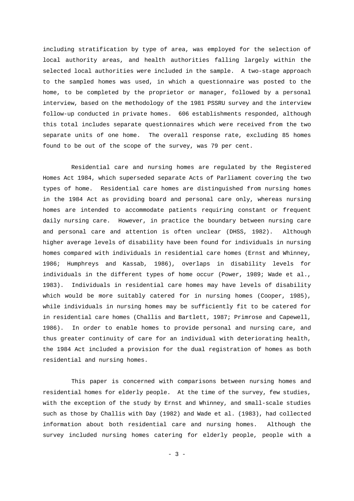including stratification by type of area, was employed for the selection of local authority areas, and health authorities falling largely within the selected local authorities were included in the sample. A two-stage approach to the sampled homes was used, in which a questionnaire was posted to the home, to be completed by the proprietor or manager, followed by a personal interview, based on the methodology of the 1981 PSSRU survey and the interview follow-up conducted in private homes. 606 establishments responded, although this total includes separate questionnaires which were received from the two separate units of one home. The overall response rate, excluding 85 homes found to be out of the scope of the survey, was 79 per cent.

 Residential care and nursing homes are regulated by the Registered Homes Act 1984, which superseded separate Acts of Parliament covering the two types of home. Residential care homes are distinguished from nursing homes in the 1984 Act as providing board and personal care only, whereas nursing homes are intended to accommodate patients requiring constant or frequent daily nursing care. However, in practice the boundary between nursing care and personal care and attention is often unclear (DHSS, 1982). Although higher average levels of disability have been found for individuals in nursing homes compared with individuals in residential care homes (Ernst and Whinney, 1986; Humphreys and Kassab, 1986), overlaps in disability levels for individuals in the different types of home occur (Power, 1989; Wade et al., 1983). Individuals in residential care homes may have levels of disability which would be more suitably catered for in nursing homes (Cooper, 1985), while individuals in nursing homes may be sufficiently fit to be catered for in residential care homes (Challis and Bartlett, 1987; Primrose and Capewell, 1986). In order to enable homes to provide personal and nursing care, and thus greater continuity of care for an individual with deteriorating health, the 1984 Act included a provision for the dual registration of homes as both residential and nursing homes.

 This paper is concerned with comparisons between nursing homes and residential homes for elderly people. At the time of the survey, few studies, with the exception of the study by Ernst and Whinney, and small-scale studies such as those by Challis with Day (1982) and Wade et al. (1983), had collected information about both residential care and nursing homes. Although the survey included nursing homes catering for elderly people, people with a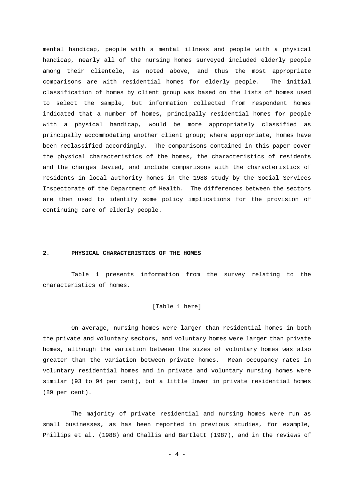mental handicap, people with a mental illness and people with a physical handicap, nearly all of the nursing homes surveyed included elderly people among their clientele, as noted above, and thus the most appropriate comparisons are with residential homes for elderly people. The initial classification of homes by client group was based on the lists of homes used to select the sample, but information collected from respondent homes indicated that a number of homes, principally residential homes for people with a physical handicap, would be more appropriately classified as principally accommodating another client group; where appropriate, homes have been reclassified accordingly. The comparisons contained in this paper cover the physical characteristics of the homes, the characteristics of residents and the charges levied, and include comparisons with the characteristics of residents in local authority homes in the 1988 study by the Social Services Inspectorate of the Department of Health. The differences between the sectors are then used to identify some policy implications for the provision of continuing care of elderly people.

#### **2. PHYSICAL CHARACTERISTICS OF THE HOMES**

 Table 1 presents information from the survey relating to the characteristics of homes.

#### [Table 1 here]

 On average, nursing homes were larger than residential homes in both the private and voluntary sectors, and voluntary homes were larger than private homes, although the variation between the sizes of voluntary homes was also greater than the variation between private homes. Mean occupancy rates in voluntary residential homes and in private and voluntary nursing homes were similar (93 to 94 per cent), but a little lower in private residential homes (89 per cent).

 The majority of private residential and nursing homes were run as small businesses, as has been reported in previous studies, for example, Phillips et al. (1988) and Challis and Bartlett (1987), and in the reviews of

 $-4$  -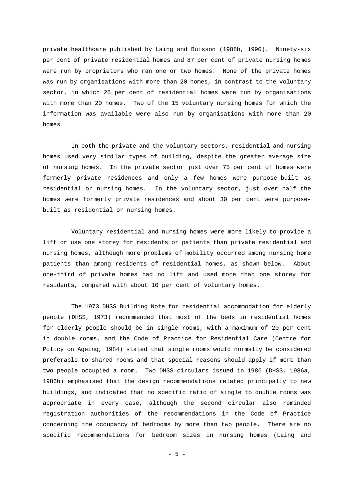private healthcare published by Laing and Buisson (1988b, 1990). Ninety-six per cent of private residential homes and 87 per cent of private nursing homes were run by proprietors who ran one or two homes. None of the private homes was run by organisations with more than 20 homes, in contrast to the voluntary sector, in which 26 per cent of residential homes were run by organisations with more than 20 homes. Two of the 15 voluntary nursing homes for which the information was available were also run by organisations with more than 20 homes.

 In both the private and the voluntary sectors, residential and nursing homes used very similar types of building, despite the greater average size of nursing homes. In the private sector just over 75 per cent of homes were formerly private residences and only a few homes were purpose-built as residential or nursing homes. In the voluntary sector, just over half the homes were formerly private residences and about 30 per cent were purposebuilt as residential or nursing homes.

 Voluntary residential and nursing homes were more likely to provide a lift or use one storey for residents or patients than private residential and nursing homes, although more problems of mobility occurred among nursing home patients than among residents of residential homes, as shown below. About one-third of private homes had no lift and used more than one storey for residents, compared with about 10 per cent of voluntary homes.

 The 1973 DHSS Building Note for residential accommodation for elderly people (DHSS, 1973) recommended that most of the beds in residential homes for elderly people should be in single rooms, with a maximum of 20 per cent in double rooms, and the Code of Practice for Residential Care (Centre for Policy on Ageing, 1984) stated that single rooms would normally be considered preferable to shared rooms and that special reasons should apply if more than two people occupied a room. Two DHSS circulars issued in 1986 (DHSS, 1986a, 1986b) emphasised that the design recommendations related principally to new buildings, and indicated that no specific ratio of single to double rooms was appropriate in every case, although the second circular also reminded registration authorities of the recommendations in the Code of Practice concerning the occupancy of bedrooms by more than two people. There are no specific recommendations for bedroom sizes in nursing homes (Laing and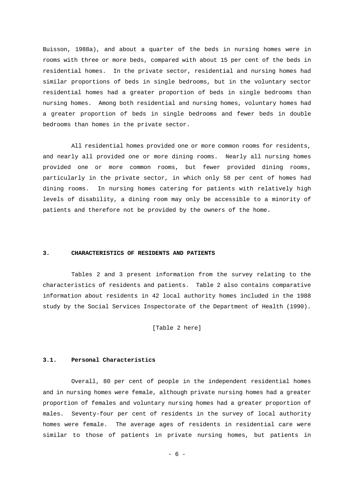Buisson, 1988a), and about a quarter of the beds in nursing homes were in rooms with three or more beds, compared with about 15 per cent of the beds in residential homes. In the private sector, residential and nursing homes had similar proportions of beds in single bedrooms, but in the voluntary sector residential homes had a greater proportion of beds in single bedrooms than nursing homes. Among both residential and nursing homes, voluntary homes had a greater proportion of beds in single bedrooms and fewer beds in double bedrooms than homes in the private sector.

 All residential homes provided one or more common rooms for residents, and nearly all provided one or more dining rooms. Nearly all nursing homes provided one or more common rooms, but fewer provided dining rooms, particularly in the private sector, in which only 58 per cent of homes had dining rooms. In nursing homes catering for patients with relatively high levels of disability, a dining room may only be accessible to a minority of patients and therefore not be provided by the owners of the home.

#### **3. CHARACTERISTICS OF RESIDENTS AND PATIENTS**

 Tables 2 and 3 present information from the survey relating to the characteristics of residents and patients. Table 2 also contains comparative information about residents in 42 local authority homes included in the 1988 study by the Social Services Inspectorate of the Department of Health (1990).

[Table 2 here]

#### **3.1. Personal Characteristics**

 Overall, 80 per cent of people in the independent residential homes and in nursing homes were female, although private nursing homes had a greater proportion of females and voluntary nursing homes had a greater proportion of males. Seventy-four per cent of residents in the survey of local authority homes were female. The average ages of residents in residential care were similar to those of patients in private nursing homes, but patients in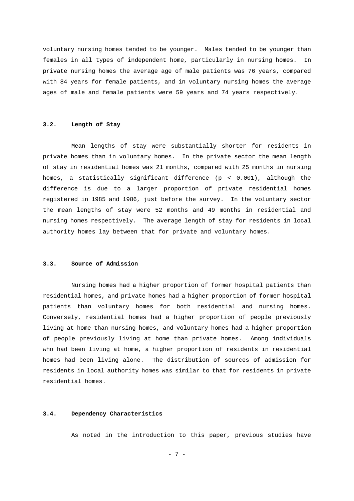voluntary nursing homes tended to be younger. Males tended to be younger than females in all types of independent home, particularly in nursing homes. In private nursing homes the average age of male patients was 76 years, compared with 84 years for female patients, and in voluntary nursing homes the average ages of male and female patients were 59 years and 74 years respectively.

#### **3.2. Length of Stay**

 Mean lengths of stay were substantially shorter for residents in private homes than in voluntary homes. In the private sector the mean length of stay in residential homes was 21 months, compared with 25 months in nursing homes, a statistically significant difference (p < 0.001), although the difference is due to a larger proportion of private residential homes registered in 1985 and 1986, just before the survey. In the voluntary sector the mean lengths of stay were 52 months and 49 months in residential and nursing homes respectively. The average length of stay for residents in local authority homes lay between that for private and voluntary homes.

#### **3.3. Source of Admission**

 Nursing homes had a higher proportion of former hospital patients than residential homes, and private homes had a higher proportion of former hospital patients than voluntary homes for both residential and nursing homes. Conversely, residential homes had a higher proportion of people previously living at home than nursing homes, and voluntary homes had a higher proportion of people previously living at home than private homes. Among individuals who had been living at home, a higher proportion of residents in residential homes had been living alone. The distribution of sources of admission for residents in local authority homes was similar to that for residents in private residential homes.

#### **3.4. Dependency Characteristics**

As noted in the introduction to this paper, previous studies have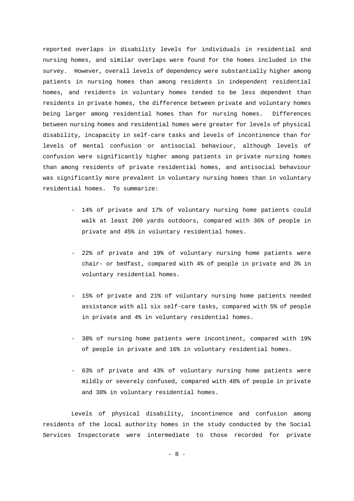reported overlaps in disability levels for individuals in residential and nursing homes, and similar overlaps were found for the homes included in the survey. However, overall levels of dependency were substantially higher among patients in nursing homes than among residents in independent residential homes, and residents in voluntary homes tended to be less dependent than residents in private homes, the difference between private and voluntary homes being larger among residential homes than for nursing homes. Differences between nursing homes and residential homes were greater for levels of physical disability, incapacity in self-care tasks and levels of incontinence than for levels of mental confusion or antisocial behaviour, although levels of confusion were significantly higher among patients in private nursing homes than among residents of private residential homes, and antisocial behaviour was significantly more prevalent in voluntary nursing homes than in voluntary residential homes. To summarize:

- 14% of private and 17% of voluntary nursing home patients could walk at least 200 yards outdoors, compared with 36% of people in private and 45% in voluntary residential homes.
- 22% of private and 19% of voluntary nursing home patients were chair- or bedfast, compared with 4% of people in private and 3% in voluntary residential homes.
- 15% of private and 21% of voluntary nursing home patients needed assistance with all six self-care tasks, compared with 5% of people in private and 4% in voluntary residential homes.
- 38% of nursing home patients were incontinent, compared with 19% of people in private and 16% in voluntary residential homes.
- 63% of private and 43% of voluntary nursing home patients were mildly or severely confused, compared with 48% of people in private and 38% in voluntary residential homes.

 Levels of physical disability, incontinence and confusion among residents of the local authority homes in the study conducted by the Social Services Inspectorate were intermediate to those recorded for private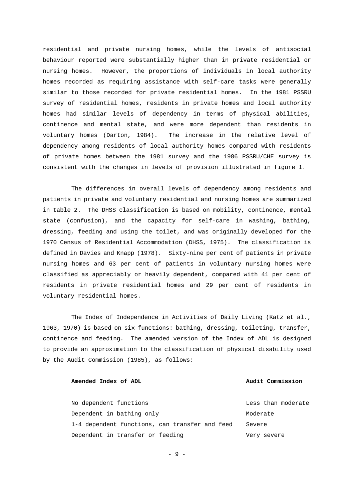residential and private nursing homes, while the levels of antisocial behaviour reported were substantially higher than in private residential or nursing homes. However, the proportions of individuals in local authority homes recorded as requiring assistance with self-care tasks were generally similar to those recorded for private residential homes. In the 1981 PSSRU survey of residential homes, residents in private homes and local authority homes had similar levels of dependency in terms of physical abilities, continence and mental state, and were more dependent than residents in voluntary homes (Darton, 1984). The increase in the relative level of dependency among residents of local authority homes compared with residents of private homes between the 1981 survey and the 1986 PSSRU/CHE survey is consistent with the changes in levels of provision illustrated in figure 1.

 The differences in overall levels of dependency among residents and patients in private and voluntary residential and nursing homes are summarized in table 2. The DHSS classification is based on mobility, continence, mental state (confusion), and the capacity for self-care in washing, bathing, dressing, feeding and using the toilet, and was originally developed for the 1970 Census of Residential Accommodation (DHSS, 1975). The classification is defined in Davies and Knapp (1978). Sixty-nine per cent of patients in private nursing homes and 63 per cent of patients in voluntary nursing homes were classified as appreciably or heavily dependent, compared with 41 per cent of residents in private residential homes and 29 per cent of residents in voluntary residential homes.

 The Index of Independence in Activities of Daily Living (Katz et al., 1963, 1970) is based on six functions: bathing, dressing, toileting, transfer, continence and feeding. The amended version of the Index of ADL is designed to provide an approximation to the classification of physical disability used by the Audit Commission (1985), as follows:

#### **Amended Index of ADL Audit Commission**

 No dependent functions Less than moderate Dependent in bathing only moderate 1-4 dependent functions, can transfer and feed Severe Dependent in transfer or feeding very severe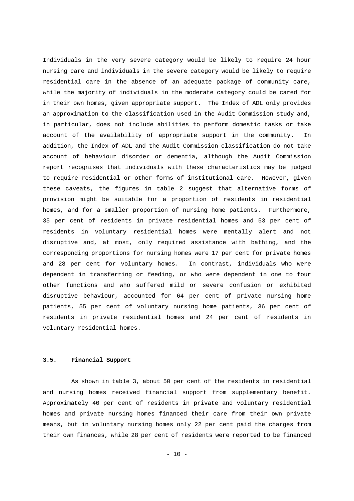Individuals in the very severe category would be likely to require 24 hour nursing care and individuals in the severe category would be likely to require residential care in the absence of an adequate package of community care, while the majority of individuals in the moderate category could be cared for in their own homes, given appropriate support. The Index of ADL only provides an approximation to the classification used in the Audit Commission study and, in particular, does not include abilities to perform domestic tasks or take account of the availability of appropriate support in the community. In addition, the Index of ADL and the Audit Commission classification do not take account of behaviour disorder or dementia, although the Audit Commission report recognises that individuals with these characteristics may be judged to require residential or other forms of institutional care. However, given these caveats, the figures in table 2 suggest that alternative forms of provision might be suitable for a proportion of residents in residential homes, and for a smaller proportion of nursing home patients. Furthermore, 35 per cent of residents in private residential homes and 53 per cent of residents in voluntary residential homes were mentally alert and not disruptive and, at most, only required assistance with bathing, and the corresponding proportions for nursing homes were 17 per cent for private homes and 28 per cent for voluntary homes. In contrast, individuals who were dependent in transferring or feeding, or who were dependent in one to four other functions and who suffered mild or severe confusion or exhibited disruptive behaviour, accounted for 64 per cent of private nursing home patients, 55 per cent of voluntary nursing home patients, 36 per cent of residents in private residential homes and 24 per cent of residents in voluntary residential homes.

#### **3.5. Financial Support**

 As shown in table 3, about 50 per cent of the residents in residential and nursing homes received financial support from supplementary benefit. Approximately 40 per cent of residents in private and voluntary residential homes and private nursing homes financed their care from their own private means, but in voluntary nursing homes only 22 per cent paid the charges from their own finances, while 28 per cent of residents were reported to be financed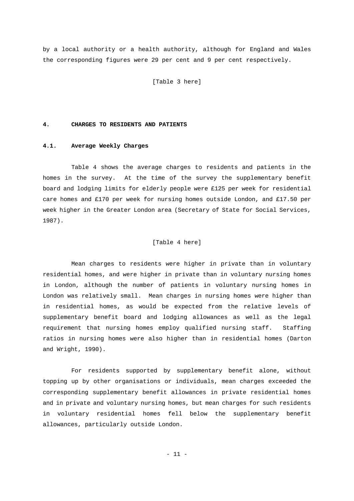by a local authority or a health authority, although for England and Wales the corresponding figures were 29 per cent and 9 per cent respectively.

[Table 3 here]

#### **4. CHARGES TO RESIDENTS AND PATIENTS**

#### **4.1. Average Weekly Charges**

 Table 4 shows the average charges to residents and patients in the homes in the survey. At the time of the survey the supplementary benefit board and lodging limits for elderly people were £125 per week for residential care homes and £170 per week for nursing homes outside London, and £17.50 per week higher in the Greater London area (Secretary of State for Social Services, 1987).

#### [Table 4 here]

 Mean charges to residents were higher in private than in voluntary residential homes, and were higher in private than in voluntary nursing homes in London, although the number of patients in voluntary nursing homes in London was relatively small. Mean charges in nursing homes were higher than in residential homes, as would be expected from the relative levels of supplementary benefit board and lodging allowances as well as the legal requirement that nursing homes employ qualified nursing staff. Staffing ratios in nursing homes were also higher than in residential homes (Darton and Wright, 1990).

 For residents supported by supplementary benefit alone, without topping up by other organisations or individuals, mean charges exceeded the corresponding supplementary benefit allowances in private residential homes and in private and voluntary nursing homes, but mean charges for such residents in voluntary residential homes fell below the supplementary benefit allowances, particularly outside London.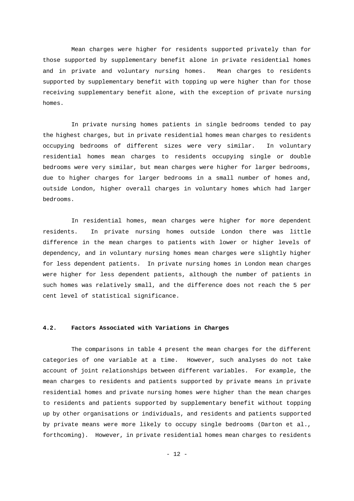Mean charges were higher for residents supported privately than for those supported by supplementary benefit alone in private residential homes and in private and voluntary nursing homes. Mean charges to residents supported by supplementary benefit with topping up were higher than for those receiving supplementary benefit alone, with the exception of private nursing homes.

 In private nursing homes patients in single bedrooms tended to pay the highest charges, but in private residential homes mean charges to residents occupying bedrooms of different sizes were very similar. In voluntary residential homes mean charges to residents occupying single or double bedrooms were very similar, but mean charges were higher for larger bedrooms, due to higher charges for larger bedrooms in a small number of homes and, outside London, higher overall charges in voluntary homes which had larger bedrooms.

 In residential homes, mean charges were higher for more dependent residents. In private nursing homes outside London there was little difference in the mean charges to patients with lower or higher levels of dependency, and in voluntary nursing homes mean charges were slightly higher for less dependent patients. In private nursing homes in London mean charges were higher for less dependent patients, although the number of patients in such homes was relatively small, and the difference does not reach the 5 per cent level of statistical significance.

#### **4.2. Factors Associated with Variations in Charges**

 The comparisons in table 4 present the mean charges for the different categories of one variable at a time. However, such analyses do not take account of joint relationships between different variables. For example, the mean charges to residents and patients supported by private means in private residential homes and private nursing homes were higher than the mean charges to residents and patients supported by supplementary benefit without topping up by other organisations or individuals, and residents and patients supported by private means were more likely to occupy single bedrooms (Darton et al., forthcoming). However, in private residential homes mean charges to residents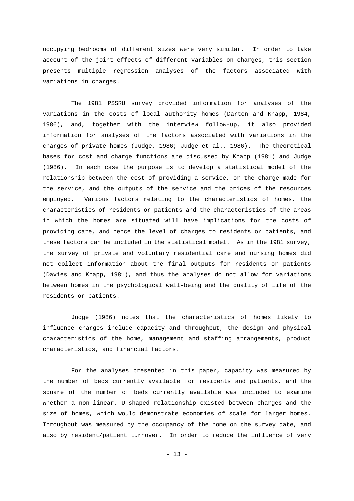occupying bedrooms of different sizes were very similar. In order to take account of the joint effects of different variables on charges, this section presents multiple regression analyses of the factors associated with variations in charges.

 The 1981 PSSRU survey provided information for analyses of the variations in the costs of local authority homes (Darton and Knapp, 1984, 1986), and, together with the interview follow-up, it also provided information for analyses of the factors associated with variations in the charges of private homes (Judge, 1986; Judge et al., 1986). The theoretical bases for cost and charge functions are discussed by Knapp (1981) and Judge (1986). In each case the purpose is to develop a statistical model of the relationship between the cost of providing a service, or the charge made for the service, and the outputs of the service and the prices of the resources employed. Various factors relating to the characteristics of homes, the characteristics of residents or patients and the characteristics of the areas in which the homes are situated will have implications for the costs of providing care, and hence the level of charges to residents or patients, and these factors can be included in the statistical model. As in the 1981 survey, the survey of private and voluntary residential care and nursing homes did not collect information about the final outputs for residents or patients (Davies and Knapp, 1981), and thus the analyses do not allow for variations between homes in the psychological well-being and the quality of life of the residents or patients.

 Judge (1986) notes that the characteristics of homes likely to influence charges include capacity and throughput, the design and physical characteristics of the home, management and staffing arrangements, product characteristics, and financial factors.

 For the analyses presented in this paper, capacity was measured by the number of beds currently available for residents and patients, and the square of the number of beds currently available was included to examine whether a non-linear, U-shaped relationship existed between charges and the size of homes, which would demonstrate economies of scale for larger homes. Throughput was measured by the occupancy of the home on the survey date, and also by resident/patient turnover. In order to reduce the influence of very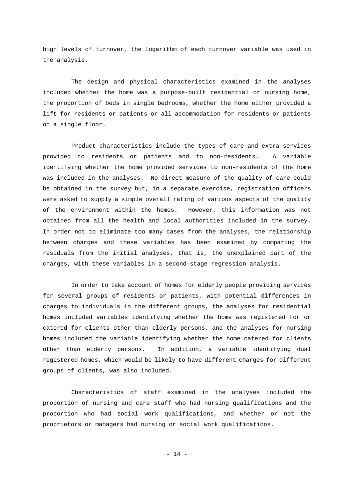high levels of turnover, the logarithm of each turnover variable was used in the analysis.

 The design and physical characteristics examined in the analyses included whether the home was a purpose-built residential or nursing home, the proportion of beds in single bedrooms, whether the home either provided a lift for residents or patients or all accommodation for residents or patients on a single floor.

 Product characteristics include the types of care and extra services provided to residents or patients and to non-residents. A variable identifying whether the home provided services to non-residents of the home was included in the analyses. No direct measure of the quality of care could be obtained in the survey but, in a separate exercise, registration officers were asked to supply a simple overall rating of various aspects of the quality of the environment within the homes. However, this information was not obtained from all the health and local authorities included in the survey. In order not to eliminate too many cases from the analyses, the relationship between charges and these variables has been examined by comparing the residuals from the initial analyses, that is, the unexplained part of the charges, with these variables in a second-stage regression analysis.

 In order to take account of homes for elderly people providing services for several groups of residents or patients, with potential differences in charges to individuals in the different groups, the analyses for residential homes included variables identifying whether the home was registered for or catered for clients other than elderly persons, and the analyses for nursing homes included the variable identifying whether the home catered for clients other than elderly persons. In addition, a variable identifying dual registered homes, which would be likely to have different charges for different groups of clients, was also included.

 Characteristics of staff examined in the analyses included the proportion of nursing and care staff who had nursing qualifications and the proportion who had social work qualifications, and whether or not the proprietors or managers had nursing or social work qualifications.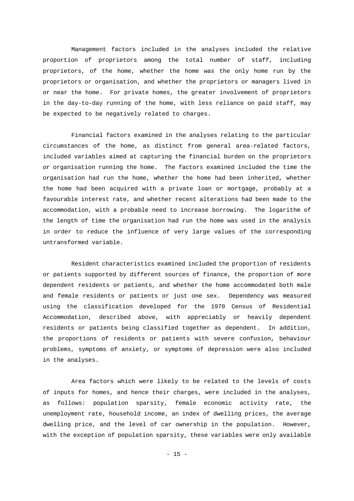Management factors included in the analyses included the relative proportion of proprietors among the total number of staff, including proprietors, of the home, whether the home was the only home run by the proprietors or organisation, and whether the proprietors or managers lived in or near the home. For private homes, the greater involvement of proprietors in the day-to-day running of the home, with less reliance on paid staff, may be expected to be negatively related to charges.

 Financial factors examined in the analyses relating to the particular circumstances of the home, as distinct from general area-related factors, included variables aimed at capturing the financial burden on the proprietors or organisation running the home. The factors examined included the time the organisation had run the home, whether the home had been inherited, whether the home had been acquired with a private loan or mortgage, probably at a favourable interest rate, and whether recent alterations had been made to the accommodation, with a probable need to increase borrowing. The logarithm of the length of time the organisation had run the home was used in the analysis in order to reduce the influence of very large values of the corresponding untransformed variable.

 Resident characteristics examined included the proportion of residents or patients supported by different sources of finance, the proportion of more dependent residents or patients, and whether the home accommodated both male and female residents or patients or just one sex. Dependency was measured using the classification developed for the 1970 Census of Residential Accommodation, described above, with appreciably or heavily dependent residents or patients being classified together as dependent. In addition, the proportions of residents or patients with severe confusion, behaviour problems, symptoms of anxiety, or symptoms of depression were also included in the analyses.

 Area factors which were likely to be related to the levels of costs of inputs for homes, and hence their charges, were included in the analyses, as follows: population sparsity, female economic activity rate, the unemployment rate, household income, an index of dwelling prices, the average dwelling price, and the level of car ownership in the population. However, with the exception of population sparsity, these variables were only available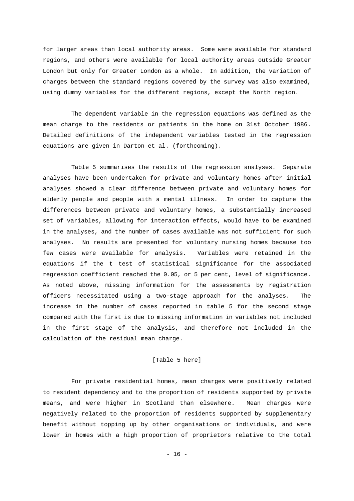for larger areas than local authority areas. Some were available for standard regions, and others were available for local authority areas outside Greater London but only for Greater London as a whole. In addition, the variation of charges between the standard regions covered by the survey was also examined, using dummy variables for the different regions, except the North region.

 The dependent variable in the regression equations was defined as the mean charge to the residents or patients in the home on 31st October 1986. Detailed definitions of the independent variables tested in the regression equations are given in Darton et al. (forthcoming).

 Table 5 summarises the results of the regression analyses. Separate analyses have been undertaken for private and voluntary homes after initial analyses showed a clear difference between private and voluntary homes for elderly people and people with a mental illness. In order to capture the differences between private and voluntary homes, a substantially increased set of variables, allowing for interaction effects, would have to be examined in the analyses, and the number of cases available was not sufficient for such analyses. No results are presented for voluntary nursing homes because too few cases were available for analysis. Variables were retained in the equations if the t test of statistical significance for the associated regression coefficient reached the 0.05, or 5 per cent, level of significance. As noted above, missing information for the assessments by registration officers necessitated using a two-stage approach for the analyses. The increase in the number of cases reported in table 5 for the second stage compared with the first is due to missing information in variables not included in the first stage of the analysis, and therefore not included in the calculation of the residual mean charge.

#### [Table 5 here]

 For private residential homes, mean charges were positively related to resident dependency and to the proportion of residents supported by private means, and were higher in Scotland than elsewhere. Mean charges were negatively related to the proportion of residents supported by supplementary benefit without topping up by other organisations or individuals, and were lower in homes with a high proportion of proprietors relative to the total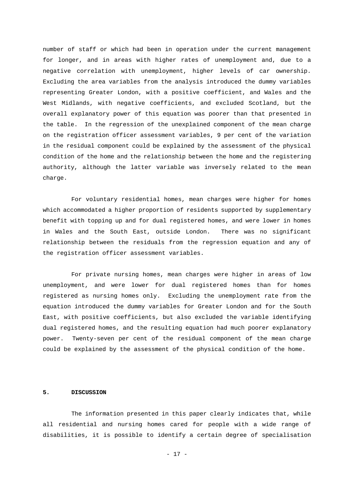number of staff or which had been in operation under the current management for longer, and in areas with higher rates of unemployment and, due to a negative correlation with unemployment, higher levels of car ownership. Excluding the area variables from the analysis introduced the dummy variables representing Greater London, with a positive coefficient, and Wales and the West Midlands, with negative coefficients, and excluded Scotland, but the overall explanatory power of this equation was poorer than that presented in the table. In the regression of the unexplained component of the mean charge on the registration officer assessment variables, 9 per cent of the variation in the residual component could be explained by the assessment of the physical condition of the home and the relationship between the home and the registering authority, although the latter variable was inversely related to the mean charge.

 For voluntary residential homes, mean charges were higher for homes which accommodated a higher proportion of residents supported by supplementary benefit with topping up and for dual registered homes, and were lower in homes in Wales and the South East, outside London. There was no significant relationship between the residuals from the regression equation and any of the registration officer assessment variables.

 For private nursing homes, mean charges were higher in areas of low unemployment, and were lower for dual registered homes than for homes registered as nursing homes only. Excluding the unemployment rate from the equation introduced the dummy variables for Greater London and for the South East, with positive coefficients, but also excluded the variable identifying dual registered homes, and the resulting equation had much poorer explanatory power. Twenty-seven per cent of the residual component of the mean charge could be explained by the assessment of the physical condition of the home.

#### **5. DISCUSSION**

 The information presented in this paper clearly indicates that, while all residential and nursing homes cared for people with a wide range of disabilities, it is possible to identify a certain degree of specialisation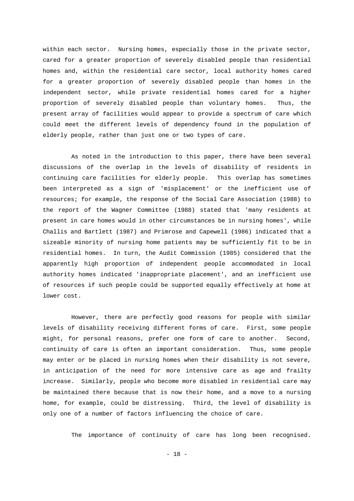within each sector. Nursing homes, especially those in the private sector, cared for a greater proportion of severely disabled people than residential homes and, within the residential care sector, local authority homes cared for a greater proportion of severely disabled people than homes in the independent sector, while private residential homes cared for a higher proportion of severely disabled people than voluntary homes. Thus, the present array of facilities would appear to provide a spectrum of care which could meet the different levels of dependency found in the population of elderly people, rather than just one or two types of care.

 As noted in the introduction to this paper, there have been several discussions of the overlap in the levels of disability of residents in continuing care facilities for elderly people. This overlap has sometimes been interpreted as a sign of 'misplacement' or the inefficient use of resources; for example, the response of the Social Care Association (1988) to the report of the Wagner Committee (1988) stated that 'many residents at present in care homes would in other circumstances be in nursing homes', while Challis and Bartlett (1987) and Primrose and Capewell (1986) indicated that a sizeable minority of nursing home patients may be sufficiently fit to be in residential homes. In turn, the Audit Commission (1985) considered that the apparently high proportion of independent people accommodated in local authority homes indicated 'inappropriate placement', and an inefficient use of resources if such people could be supported equally effectively at home at lower cost.

 However, there are perfectly good reasons for people with similar levels of disability receiving different forms of care. First, some people might, for personal reasons, prefer one form of care to another. Second, continuity of care is often an important consideration. Thus, some people may enter or be placed in nursing homes when their disability is not severe, in anticipation of the need for more intensive care as age and frailty increase. Similarly, people who become more disabled in residential care may be maintained there because that is now their home, and a move to a nursing home, for example, could be distressing. Third, the level of disability is only one of a number of factors influencing the choice of care.

The importance of continuity of care has long been recognised.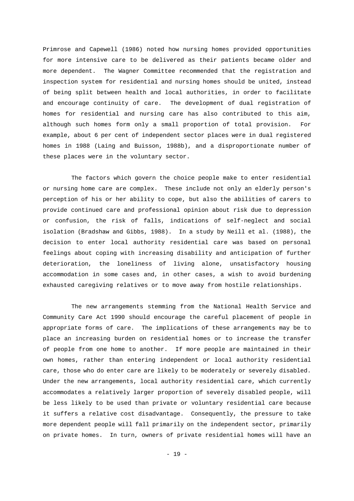Primrose and Capewell (1986) noted how nursing homes provided opportunities for more intensive care to be delivered as their patients became older and more dependent. The Wagner Committee recommended that the registration and inspection system for residential and nursing homes should be united, instead of being split between health and local authorities, in order to facilitate and encourage continuity of care. The development of dual registration of homes for residential and nursing care has also contributed to this aim, although such homes form only a small proportion of total provision. For example, about 6 per cent of independent sector places were in dual registered homes in 1988 (Laing and Buisson, 1988b), and a disproportionate number of these places were in the voluntary sector.

 The factors which govern the choice people make to enter residential or nursing home care are complex. These include not only an elderly person's perception of his or her ability to cope, but also the abilities of carers to provide continued care and professional opinion about risk due to depression or confusion, the risk of falls, indications of self-neglect and social isolation (Bradshaw and Gibbs, 1988). In a study by Neill et al. (1988), the decision to enter local authority residential care was based on personal feelings about coping with increasing disability and anticipation of further deterioration, the loneliness of living alone, unsatisfactory housing accommodation in some cases and, in other cases, a wish to avoid burdening exhausted caregiving relatives or to move away from hostile relationships.

 The new arrangements stemming from the National Health Service and Community Care Act 1990 should encourage the careful placement of people in appropriate forms of care. The implications of these arrangements may be to place an increasing burden on residential homes or to increase the transfer of people from one home to another. If more people are maintained in their own homes, rather than entering independent or local authority residential care, those who do enter care are likely to be moderately or severely disabled. Under the new arrangements, local authority residential care, which currently accommodates a relatively larger proportion of severely disabled people, will be less likely to be used than private or voluntary residential care because it suffers a relative cost disadvantage. Consequently, the pressure to take more dependent people will fall primarily on the independent sector, primarily on private homes. In turn, owners of private residential homes will have an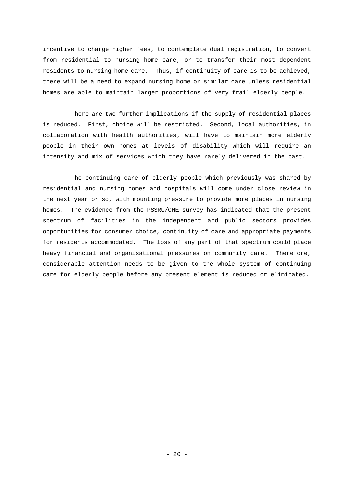incentive to charge higher fees, to contemplate dual registration, to convert from residential to nursing home care, or to transfer their most dependent residents to nursing home care. Thus, if continuity of care is to be achieved, there will be a need to expand nursing home or similar care unless residential homes are able to maintain larger proportions of very frail elderly people.

 There are two further implications if the supply of residential places is reduced. First, choice will be restricted. Second, local authorities, in collaboration with health authorities, will have to maintain more elderly people in their own homes at levels of disability which will require an intensity and mix of services which they have rarely delivered in the past.

 The continuing care of elderly people which previously was shared by residential and nursing homes and hospitals will come under close review in the next year or so, with mounting pressure to provide more places in nursing homes. The evidence from the PSSRU/CHE survey has indicated that the present spectrum of facilities in the independent and public sectors provides opportunities for consumer choice, continuity of care and appropriate payments for residents accommodated. The loss of any part of that spectrum could place heavy financial and organisational pressures on community care. Therefore, considerable attention needs to be given to the whole system of continuing care for elderly people before any present element is reduced or eliminated.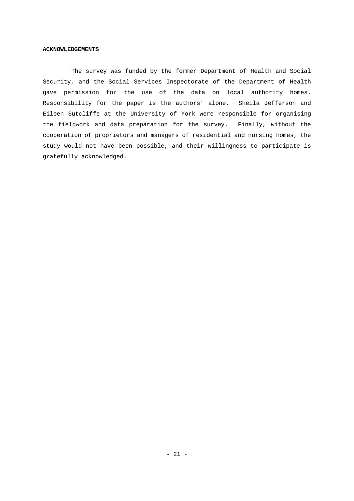#### **ACKNOWLEDGEMENTS**

 The survey was funded by the former Department of Health and Social Security, and the Social Services Inspectorate of the Department of Health gave permission for the use of the data on local authority homes. Responsibility for the paper is the authors' alone. Sheila Jefferson and Eileen Sutcliffe at the University of York were responsible for organising the fieldwork and data preparation for the survey. Finally, without the cooperation of proprietors and managers of residential and nursing homes, the study would not have been possible, and their willingness to participate is gratefully acknowledged.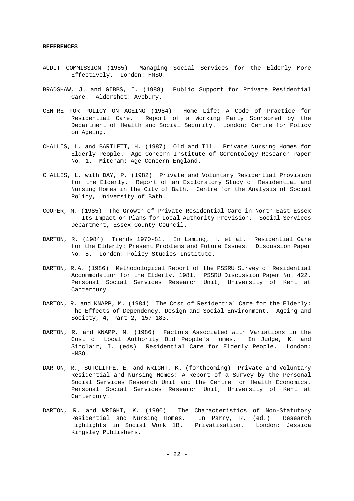#### **REFERENCES**

- AUDIT COMMISSION (1985) Managing Social Services for the Elderly More Effectively. London: HMSO.
- BRADSHAW, J. and GIBBS, I. (1988) Public Support for Private Residential Care. Aldershot: Avebury.
- CENTRE FOR POLICY ON AGEING (1984) Home Life: A Code of Practice for Residential Care. Report of a Working Party Sponsored by the Department of Health and Social Security. London: Centre for Policy on Ageing.
- CHALLIS, L. and BARTLETT, H. (1987) Old and Ill. Private Nursing Homes for Elderly People. Age Concern Institute of Gerontology Research Paper No. 1. Mitcham: Age Concern England.
- CHALLIS, L. with DAY, P. (1982) Private and Voluntary Residential Provision for the Elderly. Report of an Exploratory Study of Residential and Nursing Homes in the City of Bath. Centre for the Analysis of Social Policy, University of Bath.
- COOPER, M. (1985) The Growth of Private Residential Care in North East Essex - Its Impact on Plans for Local Authority Provision. Social Services Department, Essex County Council.
- DARTON, R. (1984) Trends 1970-81. In Laming, H. et al. Residential Care for the Elderly: Present Problems and Future Issues. Discussion Paper No. 8. London: Policy Studies Institute.
- DARTON, R.A. (1986) Methodological Report of the PSSRU Survey of Residential Accommodation for the Elderly, 1981. PSSRU Discussion Paper No. 422. Personal Social Services Research Unit, University of Kent at Canterbury.
- DARTON, R. and KNAPP, M. (1984) The Cost of Residential Care for the Elderly: The Effects of Dependency, Design and Social Environment. Ageing and Society, **4**, Part 2, 157-183.
- DARTON, R. and KNAPP, M. (1986) Factors Associated with Variations in the Cost of Local Authority Old People's Homes. In Judge, K. and Sinclair, I. (eds) Residential Care for Elderly People. London: HMSO.
- DARTON, R., SUTCLIFFE, E. and WRIGHT, K. (forthcoming) Private and Voluntary Residential and Nursing Homes: A Report of a Survey by the Personal Social Services Research Unit and the Centre for Health Economics. Personal Social Services Research Unit, University of Kent at Canterbury.
- DARTON, R. and WRIGHT, K. (1990) The Characteristics of Non-Statutory Residential and Nursing Homes. In Parry, R. (ed.) Research Highlights in Social Work 18. Privatisation. London: Jessica Kingsley Publishers.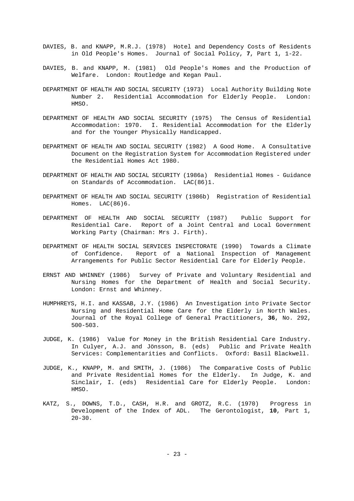- DAVIES, B. and KNAPP, M.R.J. (1978) Hotel and Dependency Costs of Residents in Old People's Homes. Journal of Social Policy, **7**, Part 1, 1-22.
- DAVIES, B. and KNAPP, M. (1981) Old People's Homes and the Production of Welfare. London: Routledge and Kegan Paul.
- DEPARTMENT OF HEALTH AND SOCIAL SECURITY (1973) Local Authority Building Note Number 2. Residential Accommodation for Elderly People. London: HMSO.
- DEPARTMENT OF HEALTH AND SOCIAL SECURITY (1975) The Census of Residential Accommodation: 1970. I. Residential Accommodation for the Elderly and for the Younger Physically Handicapped.
- DEPARTMENT OF HEALTH AND SOCIAL SECURITY (1982) A Good Home. A Consultative Document on the Registration System for Accommodation Registered under the Residential Homes Act 1980.
- DEPARTMENT OF HEALTH AND SOCIAL SECURITY (1986a) Residential Homes Guidance on Standards of Accommodation. LAC(86)1.
- DEPARTMENT OF HEALTH AND SOCIAL SECURITY (1986b) Registration of Residential Homes. LAC(86)6.
- DEPARTMENT OF HEALTH AND SOCIAL SECURITY (1987) Public Support for Residential Care. Report of a Joint Central and Local Government Working Party (Chairman: Mrs J. Firth).
- DEPARTMENT OF HEALTH SOCIAL SERVICES INSPECTORATE (1990) Towards a Climate of Confidence. Report of a National Inspection of Management Arrangements for Public Sector Residential Care for Elderly People.
- ERNST AND WHINNEY (1986) Survey of Private and Voluntary Residential and Nursing Homes for the Department of Health and Social Security. London: Ernst and Whinney.
- HUMPHREYS, H.I. and KASSAB, J.Y. (1986) An Investigation into Private Sector Nursing and Residential Home Care for the Elderly in North Wales. Journal of the Royal College of General Practitioners, **36**, No. 292, 500-503.
- JUDGE, K. (1986) Value for Money in the British Residential Care Industry. In Culyer, A.J. and Jönsson, B. (eds) Public and Private Health Services: Complementarities and Conflicts. Oxford: Basil Blackwell.
- JUDGE, K., KNAPP, M. and SMITH, J. (1986) The Comparative Costs of Public and Private Residential Homes for the Elderly. In Judge, K. and Sinclair, I. (eds) Residential Care for Elderly People. London: HMSO.
- KATZ, S., DOWNS, T.D., CASH, H.R. and GROTZ, R.C. (1970) Progress in Development of the Index of ADL. The Gerontologist, **10**, Part 1,  $20 - 30$ .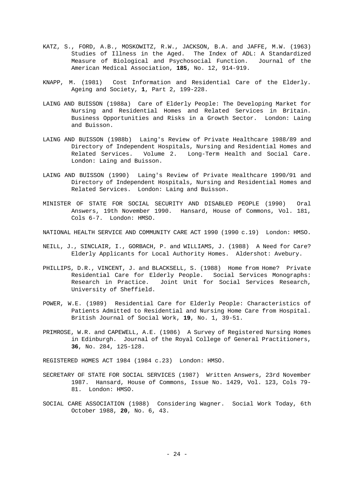- KATZ, S., FORD, A.B., MOSKOWITZ, R.W., JACKSON, B.A. and JAFFE, M.W. (1963) Studies of Illness in the Aged. The Index of ADL: A Standardized Measure of Biological and Psychosocial Function. Journal of the American Medical Association, **185**, No. 12, 914-919.
- KNAPP, M. (1981) Cost Information and Residential Care of the Elderly. Ageing and Society, **1**, Part 2, 199-228.
- LAING AND BUISSON (1988a) Care of Elderly People: The Developing Market for Nursing and Residential Homes and Related Services in Britain. Business Opportunities and Risks in a Growth Sector. London: Laing and Buisson.
- LAING AND BUISSON (1988b) Laing's Review of Private Healthcare 1988/89 and Directory of Independent Hospitals, Nursing and Residential Homes and Related Services. Volume 2. Long-Term Health and Social Care. London: Laing and Buisson.
- LAING AND BUISSON (1990) Laing's Review of Private Healthcare 1990/91 and Directory of Independent Hospitals, Nursing and Residential Homes and Related Services. London: Laing and Buisson.
- MINISTER OF STATE FOR SOCIAL SECURITY AND DISABLED PEOPLE (1990) Oral Answers, 19th November 1990. Hansard, House of Commons, Vol. 181, Cols 6-7. London: HMSO.
- NATIONAL HEALTH SERVICE AND COMMUNITY CARE ACT 1990 (1990 c.19) London: HMSO.
- NEILL, J., SINCLAIR, I., GORBACH, P. and WILLIAMS, J. (1988) A Need for Care? Elderly Applicants for Local Authority Homes. Aldershot: Avebury.
- PHILLIPS, D.R., VINCENT, J. and BLACKSELL, S. (1988) Home from Home? Private Residential Care for Elderly People. Social Services Monographs: Research in Practice. Joint Unit for Social Services Research, University of Sheffield.
- POWER, W.E. (1989) Residential Care for Elderly People: Characteristics of Patients Admitted to Residential and Nursing Home Care from Hospital. British Journal of Social Work, **19**, No. 1, 39-51.
- PRIMROSE, W.R. and CAPEWELL, A.E. (1986) A Survey of Registered Nursing Homes in Edinburgh. Journal of the Royal College of General Practitioners, **36**, No. 284, 125-128.

REGISTERED HOMES ACT 1984 (1984 c.23) London: HMSO.

- SECRETARY OF STATE FOR SOCIAL SERVICES (1987) Written Answers, 23rd November 1987. Hansard, House of Commons, Issue No. 1429, Vol. 123, Cols 79- 81. London: HMSO.
- SOCIAL CARE ASSOCIATION (1988) Considering Wagner. Social Work Today, 6th October 1988, **20**, No. 6, 43.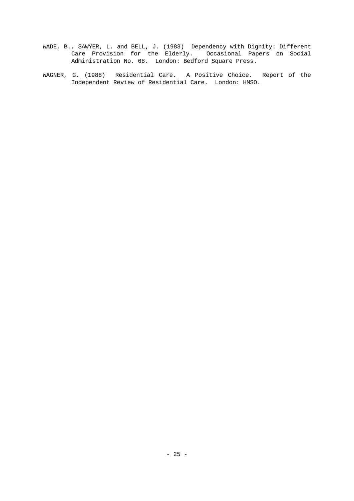- WADE, B., SAWYER, L. and BELL, J. (1983) Dependency with Dignity: Different Care Provision for the Elderly. Occasional Papers on Social Administration No. 68. London: Bedford Square Press.
- WAGNER, G. (1988) Residential Care. A Positive Choice. Report of the Independent Review of Residential Care. London: HMSO.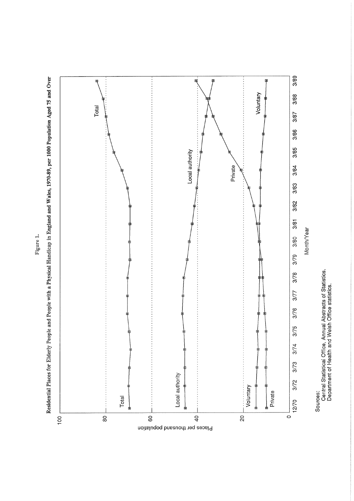



Central Statistical Office, Annual Abstracts of Statistics.<br>Department of Health and Welsh Office statistics.

Figure 1.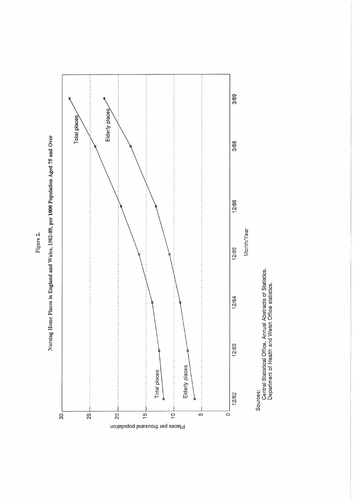

Nursing Home Places in England and Wales, 1982-89, per 1000 Population Aged 75 and Over

Figure 2.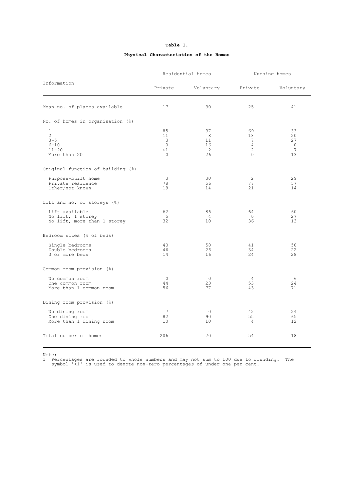|                                                                       |                                               | Residential homes              | Nursing homes                                                |                                      |  |
|-----------------------------------------------------------------------|-----------------------------------------------|--------------------------------|--------------------------------------------------------------|--------------------------------------|--|
| Information                                                           | Private                                       | Voluntary                      | Private                                                      | Voluntary                            |  |
| Mean no. of places available                                          | 17                                            | 30                             | 25                                                           | 41                                   |  |
| No. of homes in organisation (%)                                      |                                               |                                |                                                              |                                      |  |
| $\mathbf{1}$<br>2<br>$3 - 5$<br>$6 - 10$<br>$11 - 20$<br>More than 20 | 85<br>11<br>3<br>$\Omega$<br>$<$ 1<br>$\circ$ | 37<br>8<br>11<br>16<br>2<br>26 | 69<br>18<br>7<br>$\overline{4}$<br>$\overline{c}$<br>$\circ$ | 33<br>20<br>27<br>$\circ$<br>7<br>13 |  |
| Original function of building (%)                                     |                                               |                                |                                                              |                                      |  |
| Purpose-built home<br>Private residence<br>Other/not known            | 3<br>78<br>19                                 | 30<br>56<br>14                 | $\overline{2}$<br>77<br>21                                   | 29<br>57<br>14                       |  |
| Lift and no. of storeys (%)                                           |                                               |                                |                                                              |                                      |  |
| Lift available<br>No lift, 1 storey<br>No lift, more than 1 storey    | 62<br>5<br>32                                 | 86<br>$\overline{4}$<br>10     | 64<br>$\Omega$<br>36                                         | 60<br>27<br>13                       |  |
| Bedroom sizes (% of beds)                                             |                                               |                                |                                                              |                                      |  |
| Single bedrooms<br>Double bedrooms<br>3 or more beds                  | 40<br>46<br>14                                | 58<br>2.6<br>16                | 41<br>34<br>24                                               | 50<br>22<br>28                       |  |
| Common room provision (%)                                             |                                               |                                |                                                              |                                      |  |
| No common room<br>One common room<br>More than 1 common room          | $\circ$<br>44<br>56                           | $\circ$<br>23<br>77            | $\overline{4}$<br>53<br>43                                   | 6<br>2.4<br>71                       |  |
| Dining room provision (%)                                             |                                               |                                |                                                              |                                      |  |
| No dining room<br>One dining room<br>More than 1 dining room          | 7<br>82<br>10                                 | 0<br>90<br>10                  | 42<br>55<br>$\overline{4}$                                   | 24<br>65<br>12                       |  |
| Total number of homes                                                 | 206                                           | 70                             | 54                                                           | 18                                   |  |

### **Table 1. Physical Characteristics of the Homes**

Note:

1 Percentages are rounded to whole numbers and may not sum to 100 due to rounding. The symbol '<1' is used to denote non-zero percentages of under one per cent.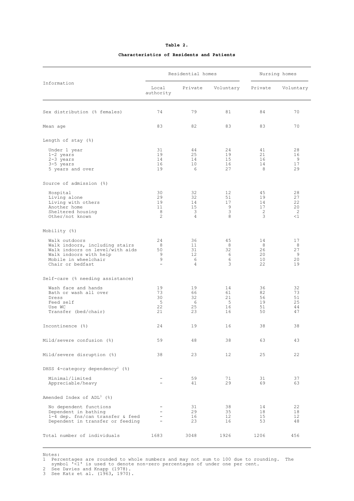#### **Characteristics of Residents and Patients**

|                                                                                                                                                          | Residential homes                                                                     |                                 |                                   | Nursing homes                    |                                  |
|----------------------------------------------------------------------------------------------------------------------------------------------------------|---------------------------------------------------------------------------------------|---------------------------------|-----------------------------------|----------------------------------|----------------------------------|
| Information                                                                                                                                              | Local<br>authority                                                                    | Private                         | Voluntary                         | Private                          | Voluntary                        |
| Sex distribution (% females)                                                                                                                             | 74                                                                                    | 79                              | 81                                | 84                               | 70                               |
| Mean age                                                                                                                                                 | 83                                                                                    | 82                              | 83                                | 83                               | 70                               |
| Length of stay (%)                                                                                                                                       |                                                                                       |                                 |                                   |                                  |                                  |
| Under 1 year<br>1-2 years<br>$2-3$ years<br>3-5 years<br>5 years and over                                                                                | 31<br>19<br>14<br>16<br>19                                                            | 44<br>25<br>14<br>10<br>6       | 24<br>19<br>15<br>16<br>27        | 41<br>21<br>16<br>14<br>8        | 28<br>16<br>9<br>17<br>29        |
| Source of admission (%)                                                                                                                                  |                                                                                       |                                 |                                   |                                  |                                  |
| Hospital<br>Living alone<br>Living with others<br>Another home<br>Sheltered housing<br>Other/not known                                                   | 30<br>29<br>19<br>11<br>8<br>$\overline{c}$                                           | 32<br>32<br>14<br>15<br>3<br>4  | 12<br>51<br>17<br>9<br>3<br>8     | 45<br>19<br>14<br>17<br>2<br>3   | 28<br>27<br>22<br>20<br>2<br><1  |
| Mobility (%)                                                                                                                                             |                                                                                       |                                 |                                   |                                  |                                  |
| Walk outdoors<br>Walk indoors, including stairs<br>Walk indoors on level/with aids<br>Walk indoors with help<br>Mobile in wheelchair<br>Chair or bedfast | 24<br>8<br>50<br>9<br>9<br>$\equiv$                                                   | 36<br>11<br>31<br>12<br>6<br>4  | 45<br>8<br>32<br>6<br>6<br>3      | 14<br>8<br>26<br>20<br>10<br>22  | 17<br>8<br>27<br>9<br>20<br>19   |
| Self-care (% needing assistance)                                                                                                                         |                                                                                       |                                 |                                   |                                  |                                  |
| Wash face and hands<br>Bath or wash all over<br>Dress<br>Feed self<br>Use WC<br>Transfer (bed/chair)                                                     | 19<br>73<br>30<br>-5<br>22<br>21                                                      | 19<br>66<br>32<br>6<br>25<br>23 | 14<br>61<br>21<br>- 5<br>16<br>16 | 36<br>82<br>56<br>19<br>51<br>50 | 32<br>73<br>51<br>25<br>44<br>47 |
| Incontinence (%)                                                                                                                                         | 24                                                                                    | 19                              | 16                                | 38                               | 38                               |
| Mild/severe confusion (%)                                                                                                                                | 59                                                                                    | 48                              | 38                                | 63                               | 43                               |
| Mild/severe disruption (%)                                                                                                                               | 38                                                                                    | 23                              | $12 \overline{ }$                 | 25                               | 22                               |
| DHSS 4-category dependency <sup>2</sup> (%)                                                                                                              |                                                                                       |                                 |                                   |                                  |                                  |
| Minimal/limited<br>Appreciable/heavy                                                                                                                     | $\overline{\phantom{0}}$                                                              | 59<br>41                        | 71<br>29                          | 31<br>69                         | 37<br>63                         |
| Amended Index of ADL <sup>3</sup> (%)                                                                                                                    |                                                                                       |                                 |                                   |                                  |                                  |
| No dependent functions<br>Dependent in bathing<br>1-4 dep. fns/can transfer & feed<br>Dependent in transfer or feeding                                   | $\overline{\phantom{0}}$<br>$\overline{\phantom{0}}$<br>$\overline{\phantom{a}}$<br>÷ | 31<br>29<br>16<br>23            | 38<br>35<br>12<br>16              | 14<br>18<br>15<br>53             | 22<br>18<br>12<br>48             |
| Total number of individuals                                                                                                                              | 1683                                                                                  | 3048                            | 1926                              | 1206                             | 456                              |

Notes:

1 Percentages are rounded to whole numbers and may not sum to 100 due to rounding. The symbol '<1' is used to denote non-zero percentages of under one per cent.

2 See Davies and Knapp (1978). 3 See Katz et al. (1963, 1970).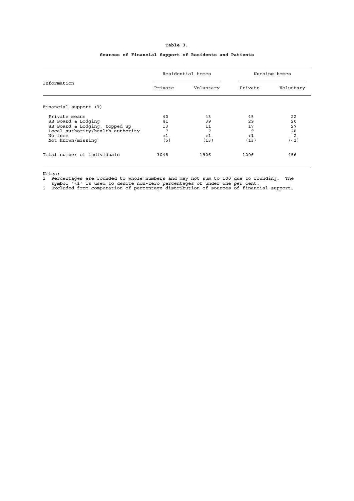|                                                                                                                                                       | Residential homes                 |                                    | Nursing homes                      |                                               |
|-------------------------------------------------------------------------------------------------------------------------------------------------------|-----------------------------------|------------------------------------|------------------------------------|-----------------------------------------------|
| Information                                                                                                                                           | Private                           | Voluntary                          | Private                            | Voluntary                                     |
| Financial support (%)                                                                                                                                 |                                   |                                    |                                    |                                               |
| Private means<br>SB Board & Lodging<br>SB Board & Lodging, topped up<br>Local authority/health authority<br>No fees<br>Not known/missing <sup>2</sup> | 40<br>41<br>13<br>7<br>< 1<br>(5) | 43<br>39<br>11<br>7<br>< 1<br>(13) | 45<br>29<br>17<br>9<br>< 1<br>(13) | 22<br>20<br>27<br>28<br>$\overline{2}$<br>(1) |
| Total number of individuals                                                                                                                           | 3048                              | 1926                               | 1206                               | 456                                           |

## **Table 3.**

#### **Sources of Financial Support of Residents and Patients**

Notes:

1 Percentages are rounded to whole numbers and may not sum to 100 due to rounding. The

symbol '<1' is used to denote non-zero percentages of under one per cent. 2 Excluded from computation of percentage distribution of sources of financial support.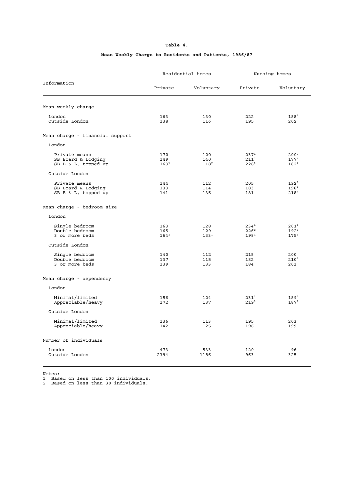| Table 4.<br>. |  |
|---------------|--|
|               |  |

# Residential homes Nursing homes Information Private Voluntary Private Voluntary Mean weekly charge London 163 130 222 188<sup>1</sup> Parameter 163 130 222 188<sup>1</sup><br>
Outside London 138 116 195 202 Mean charge - financial support London Private means  $\begin{array}{ccccccc} 170 & & & & 120 & & & 237^1 & & 200^2 \ \text{SB} & \text{Board} & \text{E} & \text{odging} & & & & 149 & & 140 & & 211^2 & & 177^1 \ \text{SB} & \text{B} & \text{E} & \text{L} & \text{topped up} & & & & 163^1 & & & 118^2 & & & 228^2 & & & 182^2 \end{array}$  ${\rm SB\,\,\, Board\,\,\, & \,\,Loging$  149  $140$  211<sup>2</sup> 177<sup>1</sup><br>  ${\rm SB\,\,\, & \,\,L\,\,\, topped\,\, up}$  163<sup>1</sup> 118<sup>2</sup> 228<sup>2</sup> 182<sup>2</sup> Outside London Private means 144 112 205 192<sup>1</sup><br>
SB Board & Lodging 133 114 183 196<sup>1</sup><br>
SB B & L, topped up 141 135 181 218<sup>1</sup> SB Board & Lodging 133 114 183 196<sup>1</sup> SB B & L, topped up 141 135 181 218<sup>1</sup> Mean charge - bedroom size London Single bedroom 163 128 234<sup>1</sup> 201<sup>1</sup> Double bedroom 165 129 226<sup>2</sup> 192<sup>2</sup> 3 or more beds  $164^1$   $133^1$   $198^1$   $175^1$  Outside London Single bedroom 140 112 215 200 Double bedroom 137 115 182 210<sup>1</sup> 3 or more beds 139 133 184 201 Mean charge - dependency London Minimal/limited 156 124 231<sup>1</sup> 189<sup>2</sup><br>Appreciable/heavy 172 137 219<sup>1</sup> 187<sup>1</sup> Appreciable/heavy Outside London Minimal/limited 136 113 195 203<br>Appreciable/heavy 142 125 196 199 Appreciable/heavy Number of individuals London 473 533 120 96 Outside London 2394 1186 963 325

#### **Mean Weekly Charge to Residents and Patients, 1986/87**

Notes:

1 Based on less than 100 individuals.

2 Based on less than 30 individuals.